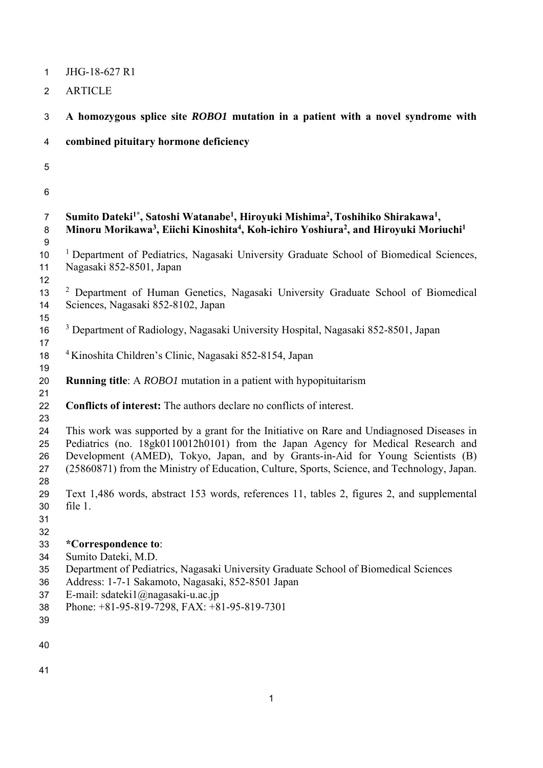| $\mathbf{1}$                           | JHG-18-627 R1                                                                                                                                                                                                                                                                                                                                                   |
|----------------------------------------|-----------------------------------------------------------------------------------------------------------------------------------------------------------------------------------------------------------------------------------------------------------------------------------------------------------------------------------------------------------------|
| $\overline{2}$                         | <b>ARTICLE</b>                                                                                                                                                                                                                                                                                                                                                  |
| 3                                      | A homozygous splice site ROBO1 mutation in a patient with a novel syndrome with                                                                                                                                                                                                                                                                                 |
| 4                                      | combined pituitary hormone deficiency                                                                                                                                                                                                                                                                                                                           |
| 5                                      |                                                                                                                                                                                                                                                                                                                                                                 |
| 6                                      |                                                                                                                                                                                                                                                                                                                                                                 |
| $\overline{7}$<br>8<br>9               | Sumito Dateki <sup>1*</sup> , Satoshi Watanabe <sup>1</sup> , Hiroyuki Mishima <sup>2</sup> , Toshihiko Shirakawa <sup>1</sup> ,<br>Minoru Morikawa <sup>3</sup> , Eiichi Kinoshita <sup>4</sup> , Koh-ichiro Yoshiura <sup>2</sup> , and Hiroyuki Moriuchi <sup>1</sup>                                                                                        |
| $10$<br>11                             | <sup>1</sup> Department of Pediatrics, Nagasaki University Graduate School of Biomedical Sciences,<br>Nagasaki 852-8501, Japan                                                                                                                                                                                                                                  |
| 12<br>13<br>14<br>15                   | <sup>2</sup> Department of Human Genetics, Nagasaki University Graduate School of Biomedical<br>Sciences, Nagasaki 852-8102, Japan                                                                                                                                                                                                                              |
| 16<br>17                               | <sup>3</sup> Department of Radiology, Nagasaki University Hospital, Nagasaki 852-8501, Japan                                                                                                                                                                                                                                                                    |
| 18<br>19                               | <sup>4</sup> Kinoshita Children's Clinic, Nagasaki 852-8154, Japan                                                                                                                                                                                                                                                                                              |
| 20                                     | <b>Running title:</b> A <i>ROBO1</i> mutation in a patient with hypopituitarism                                                                                                                                                                                                                                                                                 |
| 21<br>22<br>23                         | Conflicts of interest: The authors declare no conflicts of interest.                                                                                                                                                                                                                                                                                            |
| 24<br>25<br>26<br>27<br>28             | This work was supported by a grant for the Initiative on Rare and Undiagnosed Diseases in<br>Pediatrics (no. 18gk0110012h0101) from the Japan Agency for Medical Research and<br>Development (AMED), Tokyo, Japan, and by Grants-in-Aid for Young Scientists (B)<br>(25860871) from the Ministry of Education, Culture, Sports, Science, and Technology, Japan. |
| 29<br>30<br>31<br>32                   | Text 1,486 words, abstract 153 words, references 11, tables 2, figures 2, and supplemental<br>file 1.                                                                                                                                                                                                                                                           |
| 33<br>34<br>35<br>36<br>37<br>38<br>39 | *Correspondence to:<br>Sumito Dateki, M.D.<br>Department of Pediatrics, Nagasaki University Graduate School of Biomedical Sciences<br>Address: 1-7-1 Sakamoto, Nagasaki, 852-8501 Japan<br>E-mail: sdateki1@nagasaki-u.ac.jp<br>Phone: +81-95-819-7298, FAX: +81-95-819-7301                                                                                    |
| 40                                     |                                                                                                                                                                                                                                                                                                                                                                 |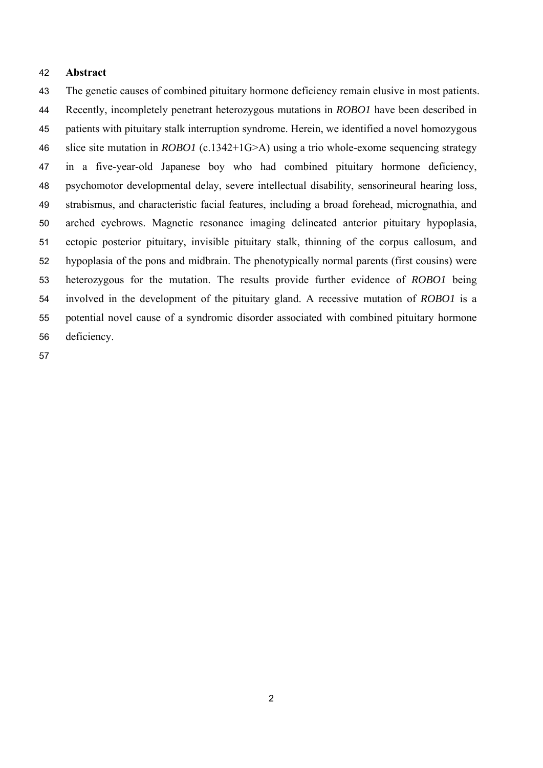#### **Abstract**

The genetic causes of combined pituitary hormone deficiency remain elusive in most patients. Recently, incompletely penetrant heterozygous mutations in *ROBO1* have been described in patients with pituitary stalk interruption syndrome. Herein, we identified a novel homozygous slice site mutation in *ROBO1* (c.1342+1G>A) using a trio whole-exome sequencing strategy in a five-year-old Japanese boy who had combined pituitary hormone deficiency, psychomotor developmental delay, severe intellectual disability, sensorineural hearing loss, strabismus, and characteristic facial features, including a broad forehead, micrognathia, and arched eyebrows. Magnetic resonance imaging delineated anterior pituitary hypoplasia, ectopic posterior pituitary, invisible pituitary stalk, thinning of the corpus callosum, and hypoplasia of the pons and midbrain. The phenotypically normal parents (first cousins) were heterozygous for the mutation. The results provide further evidence of *ROBO1* being involved in the development of the pituitary gland. A recessive mutation of *ROBO1* is a potential novel cause of a syndromic disorder associated with combined pituitary hormone deficiency.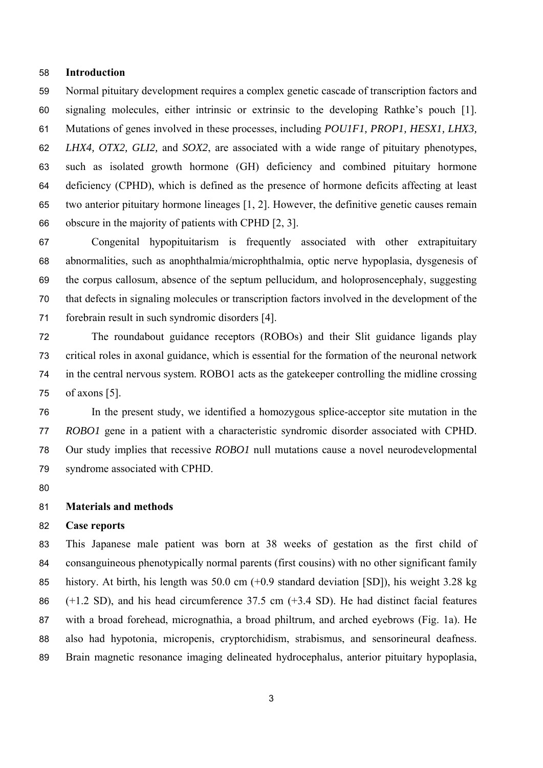#### **Introduction**

Normal pituitary development requires a complex genetic cascade of transcription factors and signaling molecules, either intrinsic or extrinsic to the developing Rathke's pouch [1]. Mutations of genes involved in these processes, including *POU1F1, PROP1, HESX1, LHX3, LHX4, OTX2, GLI2,* and *SOX2*, are associated with a wide range of pituitary phenotypes, such as isolated growth hormone (GH) deficiency and combined pituitary hormone deficiency (CPHD), which is defined as the presence of hormone deficits affecting at least two anterior pituitary hormone lineages [1, 2]. However, the definitive genetic causes remain obscure in the majority of patients with CPHD [2, 3].

Congenital hypopituitarism is frequently associated with other extrapituitary abnormalities, such as anophthalmia/microphthalmia, optic nerve hypoplasia, dysgenesis of the corpus callosum, absence of the septum pellucidum, and holoprosencephaly, suggesting that defects in signaling molecules or transcription factors involved in the development of the forebrain result in such syndromic disorders [4].

The roundabout guidance receptors (ROBOs) and their Slit guidance ligands play critical roles in axonal guidance, which is essential for the formation of the neuronal network in the central nervous system. ROBO1 acts as the gatekeeper controlling the midline crossing of axons [5].

In the present study, we identified a homozygous splice-acceptor site mutation in the *ROBO1* gene in a patient with a characteristic syndromic disorder associated with CPHD. Our study implies that recessive *ROBO1* null mutations cause a novel neurodevelopmental syndrome associated with CPHD.

#### **Materials and methods**

#### **Case reports**

This Japanese male patient was born at 38 weeks of gestation as the first child of consanguineous phenotypically normal parents (first cousins) with no other significant family history. At birth, his length was 50.0 cm (+0.9 standard deviation [SD]), his weight 3.28 kg (+1.2 SD), and his head circumference 37.5 cm (+3.4 SD). He had distinct facial features with a broad forehead, micrognathia, a broad philtrum, and arched eyebrows (Fig. 1a). He also had hypotonia, micropenis, cryptorchidism, strabismus, and sensorineural deafness. Brain magnetic resonance imaging delineated hydrocephalus, anterior pituitary hypoplasia,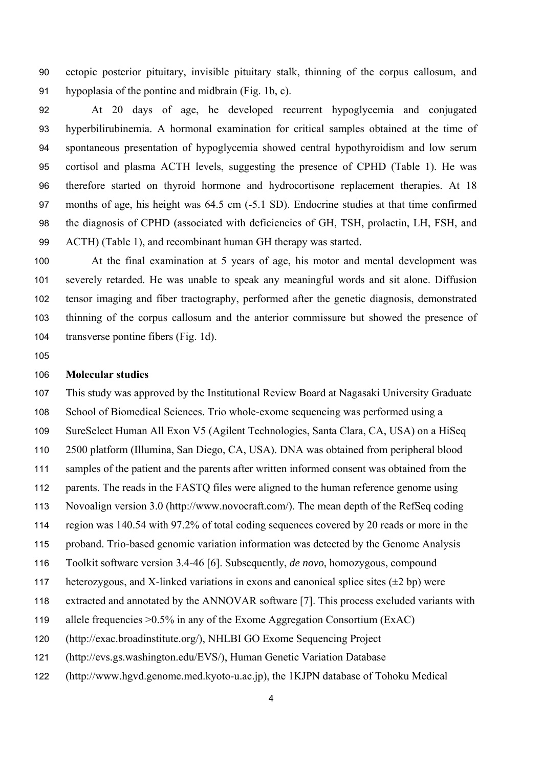ectopic posterior pituitary, invisible pituitary stalk, thinning of the corpus callosum, and hypoplasia of the pontine and midbrain (Fig. 1b, c).

At 20 days of age, he developed recurrent hypoglycemia and conjugated hyperbilirubinemia. A hormonal examination for critical samples obtained at the time of spontaneous presentation of hypoglycemia showed central hypothyroidism and low serum cortisol and plasma ACTH levels, suggesting the presence of CPHD (Table 1). He was therefore started on thyroid hormone and hydrocortisone replacement therapies. At 18 months of age, his height was 64.5 cm (-5.1 SD). Endocrine studies at that time confirmed the diagnosis of CPHD (associated with deficiencies of GH, TSH, prolactin, LH, FSH, and ACTH) (Table 1), and recombinant human GH therapy was started.

At the final examination at 5 years of age, his motor and mental development was severely retarded. He was unable to speak any meaningful words and sit alone. Diffusion tensor imaging and fiber tractography, performed after the genetic diagnosis, demonstrated thinning of the corpus callosum and the anterior commissure but showed the presence of transverse pontine fibers (Fig. 1d).

### **Molecular studies**

This study was approved by the Institutional Review Board at Nagasaki University Graduate School of Biomedical Sciences. Trio whole-exome sequencing was performed using a SureSelect Human All Exon V5 (Agilent Technologies, Santa Clara, CA, USA) on a HiSeq 2500 platform (Illumina, San Diego, CA, USA). DNA was obtained from peripheral blood samples of the patient and the parents after written informed consent was obtained from the parents. The reads in the FASTQ files were aligned to the human reference genome using Novoalign version 3.0 (http://www.novocraft.com/). The mean depth of the RefSeq coding region was 140.54 with 97.2% of total coding sequences covered by 20 reads or more in the proband. Trio-based genomic variation information was detected by the Genome Analysis Toolkit software version 3.4-46 [6]. Subsequently, *de novo*, homozygous, compound 117 heterozygous, and X-linked variations in exons and canonical splice sites  $(\pm 2$  bp) were extracted and annotated by the ANNOVAR software [7]. This process excluded variants with allele frequencies >0.5% in any of the Exome Aggregation Consortium (ExAC)

- (http://exac.broadinstitute.org/), NHLBI GO Exome Sequencing Project
- (http://evs.gs.washington.edu/EVS/), Human Genetic Variation Database
- (http://www.hgvd.genome.med.kyoto-u.ac.jp), the 1KJPN database of Tohoku Medical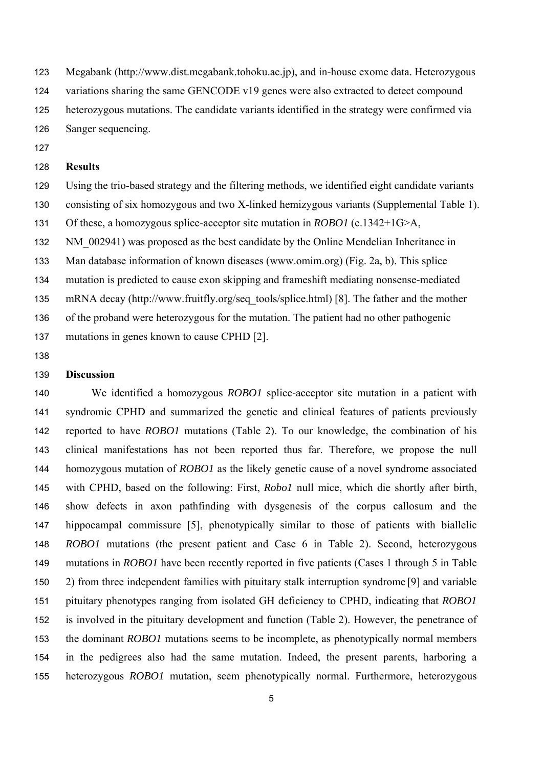Megabank (http://www.dist.megabank.tohoku.ac.jp), and in-house exome data. Heterozygous

124 variations sharing the same GENCODE v19 genes were also extracted to detect compound

- heterozygous mutations. The candidate variants identified in the strategy were confirmed via
- Sanger sequencing.
- 

### **Results**

- Using the trio-based strategy and the filtering methods, we identified eight candidate variants
- consisting of six homozygous and two X-linked hemizygous variants (Supplemental Table 1).
- Of these, a homozygous splice-acceptor site mutation in *ROBO1* (c.1342+1G>A,
- 132 NM 002941) was proposed as the best candidate by the Online Mendelian Inheritance in
- Man database information of known diseases (www.omim.org) (Fig. 2a, b). This splice
- mutation is predicted to cause exon skipping and frameshift mediating nonsense-mediated
- mRNA decay (http://www.fruitfly.org/seq\_tools/splice.html) [8]. The father and the mother
- of the proband were heterozygous for the mutation. The patient had no other pathogenic
- mutations in genes known to cause CPHD [2].
- 

# **Discussion**

We identified a homozygous *ROBO1* splice-acceptor site mutation in a patient with syndromic CPHD and summarized the genetic and clinical features of patients previously reported to have *ROBO1* mutations (Table 2). To our knowledge, the combination of his clinical manifestations has not been reported thus far. Therefore, we propose the null homozygous mutation of *ROBO1* as the likely genetic cause of a novel syndrome associated with CPHD, based on the following: First, *Robo1* null mice, which die shortly after birth, show defects in axon pathfinding with dysgenesis of the corpus callosum and the hippocampal commissure [5], phenotypically similar to those of patients with biallelic *ROBO1* mutations (the present patient and Case 6 in Table 2). Second, heterozygous mutations in *ROBO1* have been recently reported in five patients (Cases 1 through 5 in Table 2) from three independent families with pituitary stalk interruption syndrome [9] and variable pituitary phenotypes ranging from isolated GH deficiency to CPHD, indicating that *ROBO1* is involved in the pituitary development and function (Table 2). However, the penetrance of the dominant *ROBO1* mutations seems to be incomplete, as phenotypically normal members in the pedigrees also had the same mutation. Indeed, the present parents, harboring a heterozygous *ROBO1* mutation, seem phenotypically normal. Furthermore, heterozygous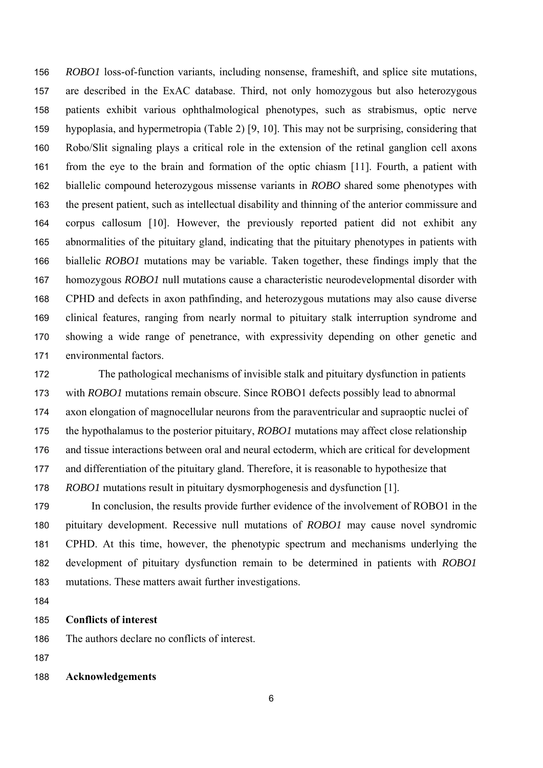*ROBO1* loss-of-function variants, including nonsense, frameshift, and splice site mutations, are described in the ExAC database. Third, not only homozygous but also heterozygous patients exhibit various ophthalmological phenotypes, such as strabismus, optic nerve hypoplasia, and hypermetropia (Table 2) [9, 10]. This may not be surprising, considering that Robo/Slit signaling plays a critical role in the extension of the retinal ganglion cell axons from the eye to the brain and formation of the optic chiasm [11]. Fourth, a patient with biallelic compound heterozygous missense variants in *ROBO* shared some phenotypes with the present patient, such as intellectual disability and thinning of the anterior commissure and corpus callosum [10]. However, the previously reported patient did not exhibit any abnormalities of the pituitary gland, indicating that the pituitary phenotypes in patients with biallelic *ROBO1* mutations may be variable. Taken together, these findings imply that the homozygous *ROBO1* null mutations cause a characteristic neurodevelopmental disorder with CPHD and defects in axon pathfinding, and heterozygous mutations may also cause diverse clinical features, ranging from nearly normal to pituitary stalk interruption syndrome and showing a wide range of penetrance, with expressivity depending on other genetic and environmental factors.

The pathological mechanisms of invisible stalk and pituitary dysfunction in patients with *ROBO1* mutations remain obscure. Since ROBO1 defects possibly lead to abnormal axon elongation of magnocellular neurons from the paraventricular and supraoptic nuclei of the hypothalamus to the posterior pituitary, *ROBO1* mutations may affect close relationship and tissue interactions between oral and neural ectoderm, which are critical for development and differentiation of the pituitary gland. Therefore, it is reasonable to hypothesize that *ROBO1* mutations result in pituitary dysmorphogenesis and dysfunction [1].

In conclusion, the results provide further evidence of the involvement of ROBO1 in the pituitary development. Recessive null mutations of *ROBO1* may cause novel syndromic CPHD. At this time, however, the phenotypic spectrum and mechanisms underlying the development of pituitary dysfunction remain to be determined in patients with *ROBO1* mutations. These matters await further investigations.

#### **Conflicts of interest**

The authors declare no conflicts of interest.

#### **Acknowledgements**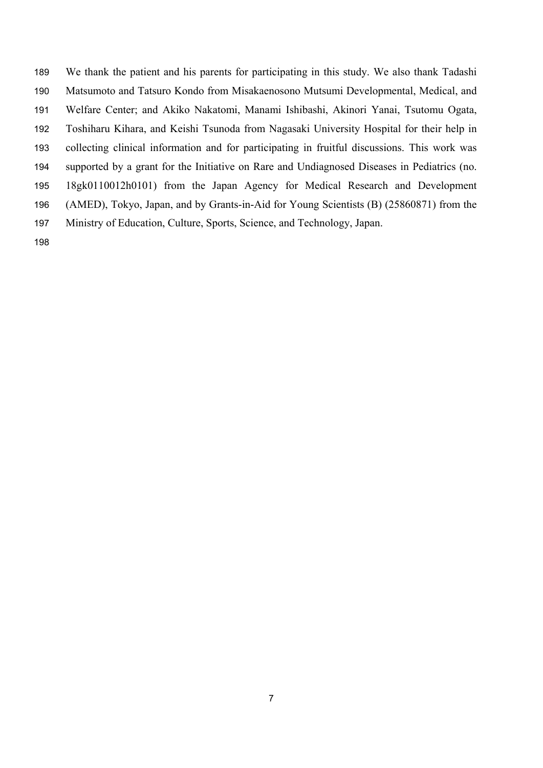We thank the patient and his parents for participating in this study. We also thank Tadashi Matsumoto and Tatsuro Kondo from Misakaenosono Mutsumi Developmental, Medical, and Welfare Center; and Akiko Nakatomi, Manami Ishibashi, Akinori Yanai, Tsutomu Ogata, Toshiharu Kihara, and Keishi Tsunoda from Nagasaki University Hospital for their help in collecting clinical information and for participating in fruitful discussions. This work was supported by a grant for the Initiative on Rare and Undiagnosed Diseases in Pediatrics (no. 18gk0110012h0101) from the Japan Agency for Medical Research and Development (AMED), Tokyo, Japan, and by Grants-in-Aid for Young Scientists (B) (25860871) from the Ministry of Education, Culture, Sports, Science, and Technology, Japan.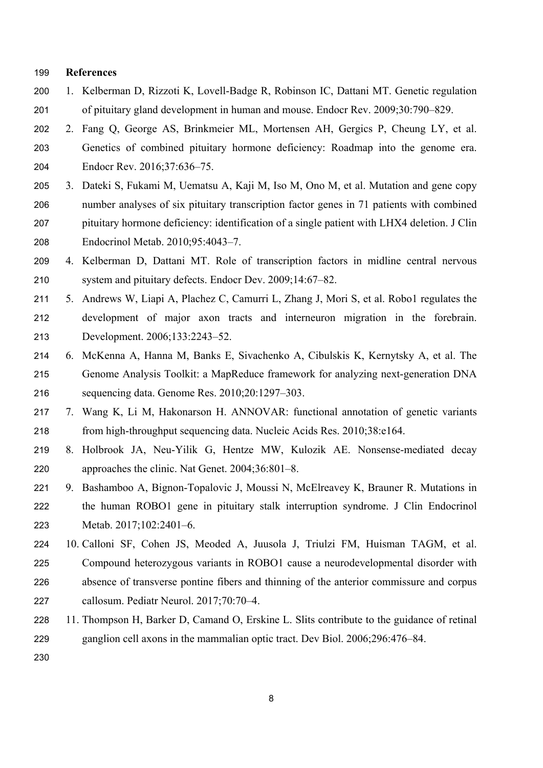#### **References**

- 1. Kelberman D, Rizzoti K, Lovell-Badge R, Robinson IC, Dattani MT. Genetic regulation of pituitary gland development in human and mouse. Endocr Rev. 2009;30:790–829.
- 2. Fang Q, George AS, Brinkmeier ML, Mortensen AH, Gergics P, Cheung LY, et al. Genetics of combined pituitary hormone deficiency: Roadmap into the genome era. Endocr Rev. 2016;37:636–75.
- 3. Dateki S, Fukami M, Uematsu A, Kaji M, Iso M, Ono M, et al. Mutation and gene copy number analyses of six pituitary transcription factor genes in 71 patients with combined pituitary hormone deficiency: identification of a single patient with LHX4 deletion. J Clin Endocrinol Metab. 2010;95:4043–7.
- 4. Kelberman D, Dattani MT. Role of transcription factors in midline central nervous system and pituitary defects. Endocr Dev. 2009;14:67–82.
- 5. Andrews W, Liapi A, Plachez C, Camurri L, Zhang J, Mori S, et al. Robo1 regulates the development of major axon tracts and interneuron migration in the forebrain. Development. 2006;133:2243–52.
- 6. McKenna A, Hanna M, Banks E, Sivachenko A, Cibulskis K, Kernytsky A, et al. The Genome Analysis Toolkit: a MapReduce framework for analyzing next-generation DNA sequencing data. Genome Res. 2010;20:1297–303.
- 7. Wang K, Li M, Hakonarson H. ANNOVAR: functional annotation of genetic variants from high-throughput sequencing data. Nucleic Acids Res. 2010;38:e164.
- 8. Holbrook JA, Neu-Yilik G, Hentze MW, Kulozik AE. Nonsense-mediated decay approaches the clinic. Nat Genet. 2004;36:801–8.
- 9. Bashamboo A, Bignon-Topalovic J, Moussi N, McElreavey K, Brauner R. Mutations in the human ROBO1 gene in pituitary stalk interruption syndrome. J Clin Endocrinol Metab. 2017;102:2401–6.
- 10. Calloni SF, Cohen JS, Meoded A, Juusola J, Triulzi FM, Huisman TAGM, et al. Compound heterozygous variants in ROBO1 cause a neurodevelopmental disorder with absence of transverse pontine fibers and thinning of the anterior commissure and corpus callosum. Pediatr Neurol. 2017;70:70–4.
- 11. Thompson H, Barker D, Camand O, Erskine L. Slits contribute to the guidance of retinal ganglion cell axons in the mammalian optic tract. Dev Biol. 2006;296:476–84.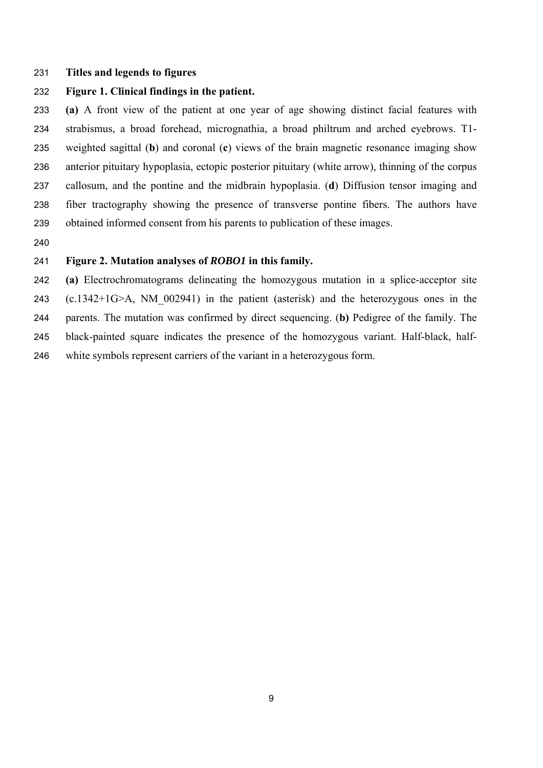#### **Titles and legends to figures**

## **Figure 1. Clinical findings in the patient.**

**(a)** A front view of the patient at one year of age showing distinct facial features with strabismus, a broad forehead, micrognathia, a broad philtrum and arched eyebrows. T1- weighted sagittal (**b**) and coronal (**c**) views of the brain magnetic resonance imaging show anterior pituitary hypoplasia, ectopic posterior pituitary (white arrow), thinning of the corpus callosum, and the pontine and the midbrain hypoplasia. (**d**) Diffusion tensor imaging and fiber tractography showing the presence of transverse pontine fibers. The authors have obtained informed consent from his parents to publication of these images.

# **Figure 2. Mutation analyses of** *ROBO1* **in this family.**

**(a)** Electrochromatograms delineating the homozygous mutation in a splice-acceptor site (c.1342+1G>A, NM\_002941) in the patient (asterisk) and the heterozygous ones in the parents. The mutation was confirmed by direct sequencing. (**b)** Pedigree of the family. The black-painted square indicates the presence of the homozygous variant. Half-black, half-white symbols represent carriers of the variant in a heterozygous form.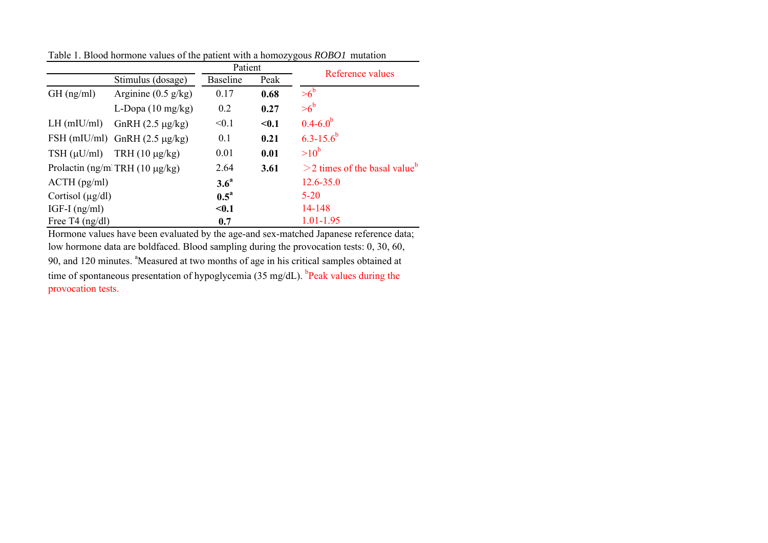|                                        |                                    | Patient            |                                             | Reference values |  |  |
|----------------------------------------|------------------------------------|--------------------|---------------------------------------------|------------------|--|--|
|                                        | Stimulus (dosage)                  | <b>Baseline</b>    | Peak                                        |                  |  |  |
| $GH$ (ng/ml)                           | Arginine $(0.5 \text{ g/kg})$      | 0.17               | 0.68                                        | $>6^b$           |  |  |
|                                        | L-Dopa $(10 \text{ mg/kg})$        | 0.2                | 0.27                                        | $>6^b$           |  |  |
| $LH$ (mIU/ml)                          | GnRH $(2.5 \mu g/kg)$              | < 0.1              | $0.1$                                       | $0.4 - 6.0^b$    |  |  |
|                                        | FSH (mIU/ml) GnRH $(2.5 \mu g/kg)$ | 0.1                | 0.21                                        | $6.3 - 15.6^b$   |  |  |
| $TSH(\mu U/ml)$                        | TRH $(10 \mu g/kg)$                | 0.01               | 0.01                                        | $>10^b$          |  |  |
| Prolactin (ng/ml TRH $(10 \mu g/kg)$ ) | 2.64                               | 3.61               | $>$ 2 times of the basal value <sup>b</sup> |                  |  |  |
| $ACTH$ (pg/ml)                         | 3.6 <sup>a</sup>                   |                    | $12.6 - 35.0$                               |                  |  |  |
| Cortisol $(\mu g/dl)$                  |                                    | $0.5^{\mathrm{a}}$ |                                             | $5 - 20$         |  |  |
| IGF-I $(ng/ml)$                        |                                    | $0.1$              |                                             | 14-148           |  |  |
| Free T4 $(ng/dl)$                      |                                    | 0.7                |                                             | 1.01-1.95        |  |  |

Table 1. Blood hormone values of the patient with a homozygous *ROBO1* mutation

Hormone values have been evaluated by the age-and sex-matched Japanese reference data; low hormone data are boldfaced. Blood sampling during the provocation tests: 0, 30, 60,

90, and 120 minutes. <sup>a</sup>Measured at two months of age in his critical samples obtained at time of spontaneous presentation of hypoglycemia (35 mg/dL).  $^{b}$ Peak values during the provocation tests.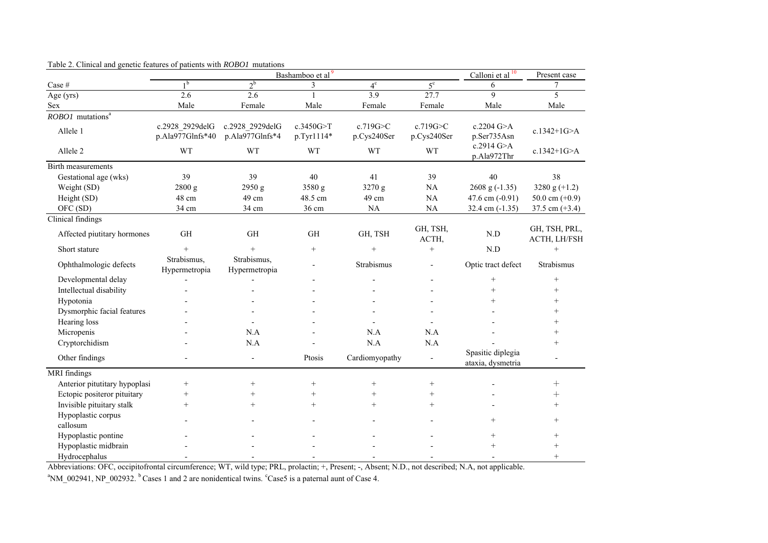|                                |                                     | Calloni et al <sup>10</sup>        | Present case            |                         |                          |                                        |                               |
|--------------------------------|-------------------------------------|------------------------------------|-------------------------|-------------------------|--------------------------|----------------------------------------|-------------------------------|
| Case $\#$                      | 1 <sup>b</sup>                      | $2^b$                              | 3                       | $4^\mathrm{c}$          | $5^{\circ}$              | 6                                      | 7                             |
| Age (yrs)                      | 2.6                                 | 2.6                                | $\mathbf{1}$            | 3.9                     | 27.7                     | 9                                      | 5                             |
| Sex                            | Male                                | Female                             | Male                    | Female                  | Female                   | Male                                   | Male                          |
| ROBO1 mutations <sup>a</sup>   |                                     |                                    |                         |                         |                          |                                        |                               |
| Allele 1                       | c.2928 2929delG<br>p.Ala977Glnfs*40 | c.2928 2929delG<br>p.Ala977Glnfs*4 | c.3450G>T<br>p.Tyr1114* | c.719G>C<br>p.Cys240Ser | c.719G>C<br>p.Cys240Ser  | c.2204 G>A<br>p.Ser735Asn              | c.1342+1G>A                   |
| Allele <sub>2</sub>            | WT                                  | WT                                 | <b>WT</b>               | WT                      | WT                       | c.2914 G>A<br>p.Ala972Thr              | c.1342+1G>A                   |
| <b>Birth measurements</b>      |                                     |                                    |                         |                         |                          |                                        |                               |
| Gestational age (wks)          | 39                                  | 39                                 | 40                      | 41                      | 39                       | 40                                     | 38                            |
| Weight (SD)                    | 2800 g                              | 2950 g                             | 3580 g                  | 3270 g                  | NA                       | 2608 g $(-1.35)$                       | 3280 g $(+1.2)$               |
| Height (SD)                    | 48 cm                               | 49 cm                              | 48.5 cm                 | 49 cm                   | $\rm NA$                 | 47.6 cm $(-0.91)$                      | 50.0 cm $(+0.9)$              |
| OFC (SD)                       | 34 cm                               | 34 cm                              | 36 cm                   | NA                      | NA                       | 32.4 cm $(-1.35)$                      | 37.5 cm $(+3.4)$              |
| Clinical findings              |                                     |                                    |                         |                         |                          |                                        |                               |
| Affected piutitary hormones    | GH                                  | <b>GH</b>                          | GH                      | GH, TSH                 | GH, TSH,<br>ACTH,        | $\mathrm{N.D}$                         | GH, TSH, PRL,<br>ACTH, LH/FSH |
| Short stature                  | $^{+}$                              | $^{+}$                             | $^{+}$                  | $^{+}$                  | $^{+}$                   | N.D                                    | $+$                           |
| Ophthalmologic defects         | Strabismus,<br>Hypermetropia        | Strabismus,<br>Hypermetropia       |                         | Strabismus              | $\overline{\phantom{a}}$ | Optic tract defect                     | Strabismus                    |
| Developmental delay            |                                     |                                    |                         |                         | $\overline{\phantom{0}}$ | $^{+}$                                 | $+$                           |
| Intellectual disability        |                                     |                                    |                         |                         |                          | $^{+}$                                 | $+$                           |
| Hypotonia                      |                                     |                                    |                         |                         |                          | $^{+}$                                 | $^{+}$                        |
| Dysmorphic facial features     |                                     |                                    |                         |                         |                          |                                        | $^{+}$                        |
| Hearing loss                   |                                     |                                    |                         |                         |                          |                                        | $^{+}$                        |
| Micropenis                     |                                     | N.A                                |                         | N.A                     | N.A                      |                                        | $^{+}$                        |
| Cryptorchidism                 |                                     | N.A                                |                         | N.A                     | N.A                      |                                        | $^{+}$                        |
| Other findings                 |                                     |                                    | Ptosis                  | Cardiomyopathy          |                          | Spasitic diplegia<br>ataxia, dysmetria |                               |
| MRI findings                   |                                     |                                    |                         |                         |                          |                                        |                               |
| Anterior pitutitary hypoplasi  | $^{+}$                              | $^{+}$                             | $^{+}$                  | $^{+}$                  | $^{+}$                   |                                        | $^+$                          |
| Ectopic positeror pituitary    | $^{+}$                              | $^{+}$                             | $^{+}$                  | $^{+}$                  | $^{+}$                   |                                        | $^{+}$                        |
| Invisible pituitary stalk      | $^{+}$                              | $^{+}$                             | $^{+}$                  | $^{+}$                  | $^{+}$                   |                                        | $+$                           |
| Hypoplastic corpus<br>callosum |                                     |                                    |                         |                         |                          | $^{+}$                                 | $+$                           |
| Hypoplastic pontine            |                                     |                                    |                         |                         |                          | $^{+}$                                 | $\! + \!\!\!\!$               |
| Hypoplastic midbrain           |                                     |                                    |                         |                         |                          | $^{+}$                                 | $^{+}$                        |
| Hydrocephalus                  |                                     |                                    |                         |                         |                          |                                        | $+$                           |

#### Table 2. Clinical and genetic features of patients with *ROBO1* mutations

Abbreviations: OFC, occipitofrontal circumference; WT, wild type; PRL, prolactin; +, Present; -, Absent; N.D., not described; N.A, not applicable.

<sup>a</sup>NM\_002941, NP\_002932.  $\frac{b}{c}$  Cases 1 and 2 are nonidentical twins.  $\frac{c}{c}$  case5 is a paternal aunt of Case 4.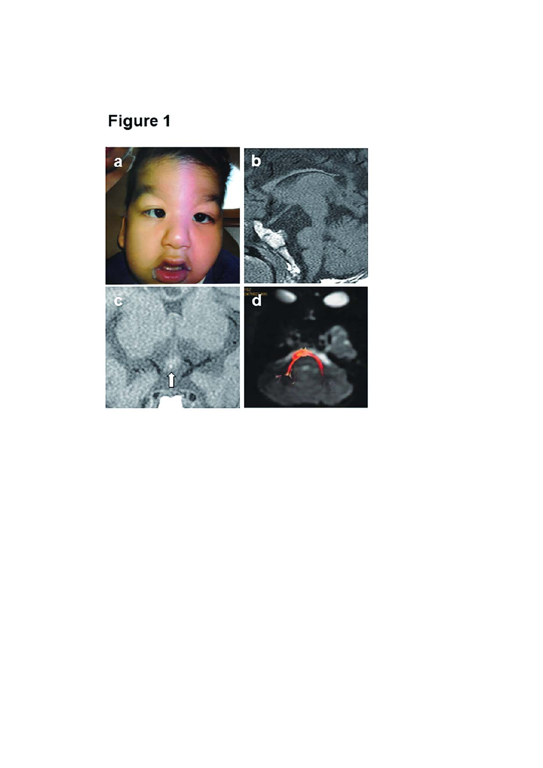# Figure 1

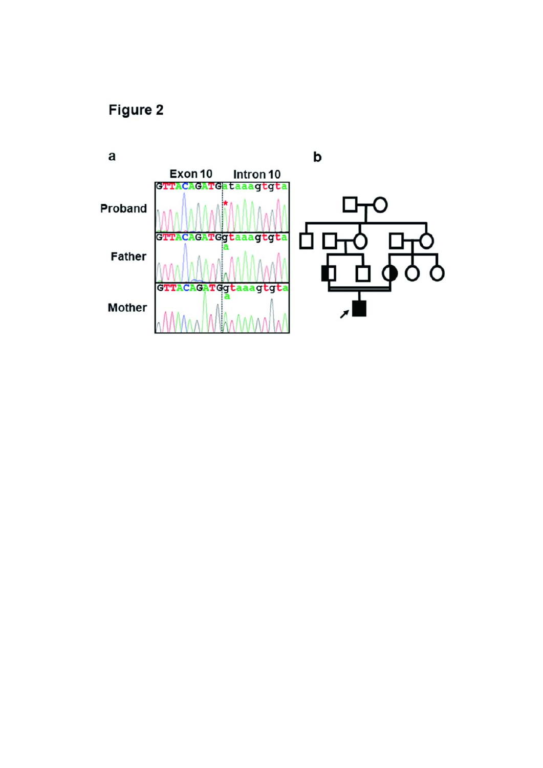Figure 2